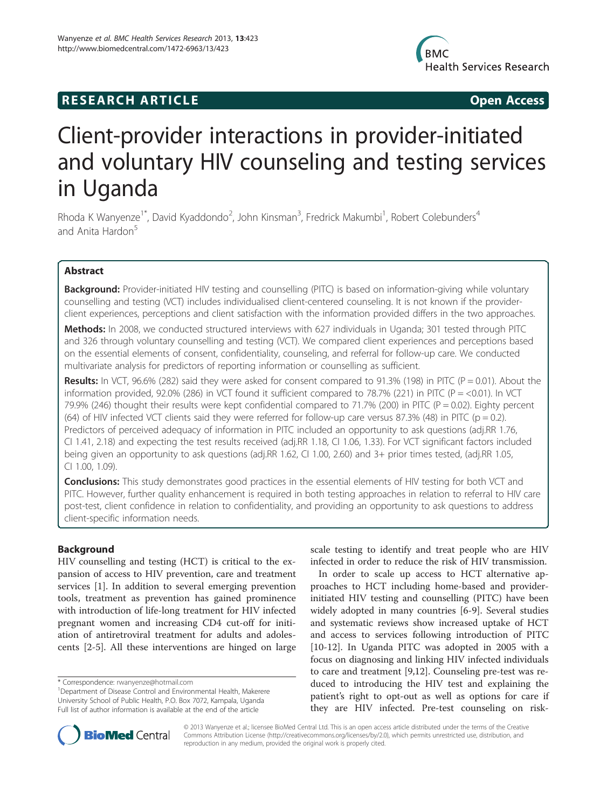## **RESEARCH ARTICLE Example 2018 12:00 Open Access**



# Client-provider interactions in provider-initiated and voluntary HIV counseling and testing services in Uganda

Rhoda K Wanyenze<sup>1\*</sup>, David Kyaddondo<sup>2</sup>, John Kinsman<sup>3</sup>, Fredrick Makumbi<sup>1</sup>, Robert Colebunders<sup>4</sup> and Anita Hardon<sup>5</sup>

## Abstract

Background: Provider-initiated HIV testing and counselling (PITC) is based on information-giving while voluntary counselling and testing (VCT) includes individualised client-centered counseling. It is not known if the providerclient experiences, perceptions and client satisfaction with the information provided differs in the two approaches.

Methods: In 2008, we conducted structured interviews with 627 individuals in Uganda; 301 tested through PITC and 326 through voluntary counselling and testing (VCT). We compared client experiences and perceptions based on the essential elements of consent, confidentiality, counseling, and referral for follow-up care. We conducted multivariate analysis for predictors of reporting information or counselling as sufficient.

**Results:** In VCT, 96.6% (282) said they were asked for consent compared to 91.3% (198) in PITC (P = 0.01). About the information provided, 92.0% (286) in VCT found it sufficient compared to 78.7% (221) in PITC (P = <0.01). In VCT 79.9% (246) thought their results were kept confidential compared to 71.7% (200) in PITC ( $P = 0.02$ ). Eighty percent (64) of HIV infected VCT clients said they were referred for follow-up care versus 87.3% (48) in PITC ( $p = 0.2$ ). Predictors of perceived adequacy of information in PITC included an opportunity to ask questions (adj.RR 1.76, CI 1.41, 2.18) and expecting the test results received (adj.RR 1.18, CI 1.06, 1.33). For VCT significant factors included being given an opportunity to ask questions (adj.RR 1.62, CI 1.00, 2.60) and 3+ prior times tested, (adj.RR 1.05, CI 1.00, 1.09).

**Conclusions:** This study demonstrates good practices in the essential elements of HIV testing for both VCT and PITC. However, further quality enhancement is required in both testing approaches in relation to referral to HIV care post-test, client confidence in relation to confidentiality, and providing an opportunity to ask questions to address client-specific information needs.

## Background

HIV counselling and testing (HCT) is critical to the expansion of access to HIV prevention, care and treatment services [[1\]](#page-7-0). In addition to several emerging prevention tools, treatment as prevention has gained prominence with introduction of life-long treatment for HIV infected pregnant women and increasing CD4 cut-off for initiation of antiretroviral treatment for adults and adolescents [\[2](#page-7-0)-[5\]](#page-7-0). All these interventions are hinged on large

scale testing to identify and treat people who are HIV infected in order to reduce the risk of HIV transmission.

In order to scale up access to HCT alternative approaches to HCT including home-based and providerinitiated HIV testing and counselling (PITC) have been widely adopted in many countries [[6-9](#page-7-0)]. Several studies and systematic reviews show increased uptake of HCT and access to services following introduction of PITC [[10-12](#page-7-0)]. In Uganda PITC was adopted in 2005 with a focus on diagnosing and linking HIV infected individuals to care and treatment [\[9,12](#page-7-0)]. Counseling pre-test was reduced to introducing the HIV test and explaining the patient's right to opt-out as well as options for care if they are HIV infected. Pre-test counseling on risk-



© 2013 Wanyenze et al.; licensee BioMed Central Ltd. This is an open access article distributed under the terms of the Creative Commons Attribution License [\(http://creativecommons.org/licenses/by/2.0\)](http://creativecommons.org/licenses/by/2.0), which permits unrestricted use, distribution, and reproduction in any medium, provided the original work is properly cited.

<sup>\*</sup> Correspondence: [rwanyenze@hotmail.com](mailto:rwanyenze@hotmail.com) <sup>1</sup>

<sup>&</sup>lt;sup>1</sup>Department of Disease Control and Environmental Health, Makerere University School of Public Health, P.O. Box 7072, Kampala, Uganda Full list of author information is available at the end of the article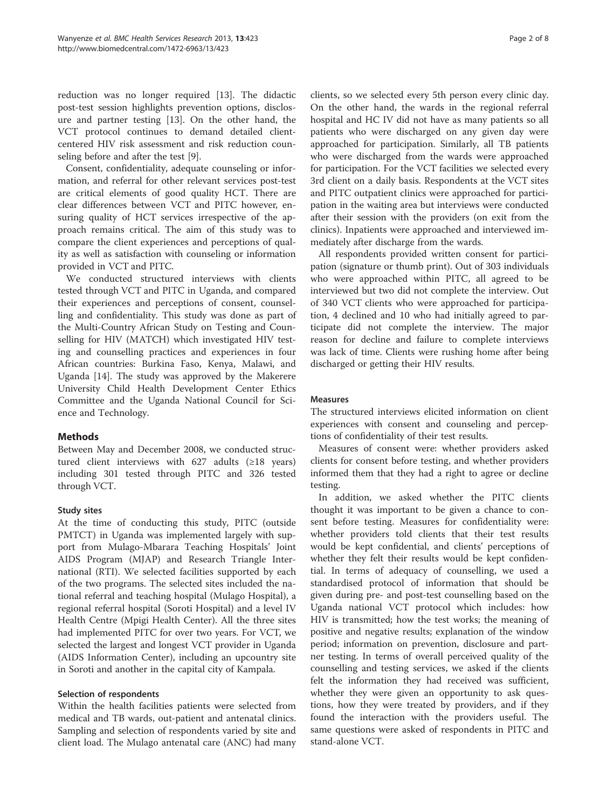reduction was no longer required [\[13](#page-7-0)]. The didactic post-test session highlights prevention options, disclosure and partner testing [\[13](#page-7-0)]. On the other hand, the VCT protocol continues to demand detailed clientcentered HIV risk assessment and risk reduction counseling before and after the test [\[9](#page-7-0)].

Consent, confidentiality, adequate counseling or information, and referral for other relevant services post-test are critical elements of good quality HCT. There are clear differences between VCT and PITC however, ensuring quality of HCT services irrespective of the approach remains critical. The aim of this study was to compare the client experiences and perceptions of quality as well as satisfaction with counseling or information provided in VCT and PITC.

We conducted structured interviews with clients tested through VCT and PITC in Uganda, and compared their experiences and perceptions of consent, counselling and confidentiality. This study was done as part of the Multi-Country African Study on Testing and Counselling for HIV (MATCH) which investigated HIV testing and counselling practices and experiences in four African countries: Burkina Faso, Kenya, Malawi, and Uganda [\[14\]](#page-7-0). The study was approved by the Makerere University Child Health Development Center Ethics Committee and the Uganda National Council for Science and Technology.

## Methods

Between May and December 2008, we conducted structured client interviews with 627 adults  $(\geq 18$  years) including 301 tested through PITC and 326 tested through VCT.

## Study sites

At the time of conducting this study, PITC (outside PMTCT) in Uganda was implemented largely with support from Mulago-Mbarara Teaching Hospitals' Joint AIDS Program (MJAP) and Research Triangle International (RTI). We selected facilities supported by each of the two programs. The selected sites included the national referral and teaching hospital (Mulago Hospital), a regional referral hospital (Soroti Hospital) and a level IV Health Centre (Mpigi Health Center). All the three sites had implemented PITC for over two years. For VCT, we selected the largest and longest VCT provider in Uganda (AIDS Information Center), including an upcountry site in Soroti and another in the capital city of Kampala.

## Selection of respondents

Within the health facilities patients were selected from medical and TB wards, out-patient and antenatal clinics. Sampling and selection of respondents varied by site and client load. The Mulago antenatal care (ANC) had many

clients, so we selected every 5th person every clinic day. On the other hand, the wards in the regional referral hospital and HC IV did not have as many patients so all patients who were discharged on any given day were approached for participation. Similarly, all TB patients who were discharged from the wards were approached for participation. For the VCT facilities we selected every 3rd client on a daily basis. Respondents at the VCT sites and PITC outpatient clinics were approached for participation in the waiting area but interviews were conducted after their session with the providers (on exit from the clinics). Inpatients were approached and interviewed immediately after discharge from the wards.

All respondents provided written consent for participation (signature or thumb print). Out of 303 individuals who were approached within PITC, all agreed to be interviewed but two did not complete the interview. Out of 340 VCT clients who were approached for participation, 4 declined and 10 who had initially agreed to participate did not complete the interview. The major reason for decline and failure to complete interviews was lack of time. Clients were rushing home after being discharged or getting their HIV results.

#### **Measures**

The structured interviews elicited information on client experiences with consent and counseling and perceptions of confidentiality of their test results.

Measures of consent were: whether providers asked clients for consent before testing, and whether providers informed them that they had a right to agree or decline testing.

In addition, we asked whether the PITC clients thought it was important to be given a chance to consent before testing. Measures for confidentiality were: whether providers told clients that their test results would be kept confidential, and clients' perceptions of whether they felt their results would be kept confidential. In terms of adequacy of counselling, we used a standardised protocol of information that should be given during pre- and post-test counselling based on the Uganda national VCT protocol which includes: how HIV is transmitted; how the test works; the meaning of positive and negative results; explanation of the window period; information on prevention, disclosure and partner testing. In terms of overall perceived quality of the counselling and testing services, we asked if the clients felt the information they had received was sufficient, whether they were given an opportunity to ask questions, how they were treated by providers, and if they found the interaction with the providers useful. The same questions were asked of respondents in PITC and stand-alone VCT.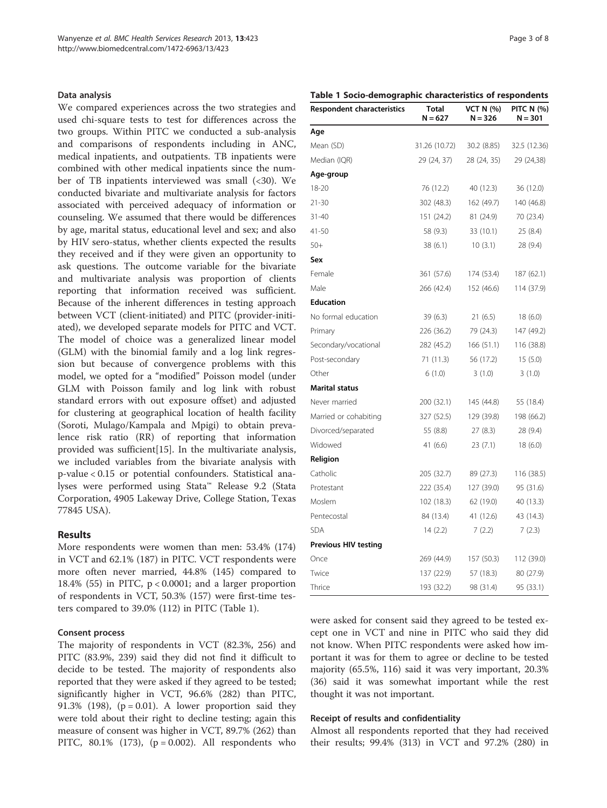#### Data analysis

We compared experiences across the two strategies and used chi-square tests to test for differences across the two groups. Within PITC we conducted a sub-analysis and comparisons of respondents including in ANC, medical inpatients, and outpatients. TB inpatients were combined with other medical inpatients since the number of TB inpatients interviewed was small (<30). We conducted bivariate and multivariate analysis for factors associated with perceived adequacy of information or counseling. We assumed that there would be differences by age, marital status, educational level and sex; and also by HIV sero-status, whether clients expected the results they received and if they were given an opportunity to ask questions. The outcome variable for the bivariate and multivariate analysis was proportion of clients reporting that information received was sufficient. Because of the inherent differences in testing approach between VCT (client-initiated) and PITC (provider-initiated), we developed separate models for PITC and VCT. The model of choice was a generalized linear model (GLM) with the binomial family and a log link regression but because of convergence problems with this model, we opted for a "modified" Poisson model (under GLM with Poisson family and log link with robust standard errors with out exposure offset) and adjusted for clustering at geographical location of health facility (Soroti, Mulago/Kampala and Mpigi) to obtain prevalence risk ratio (RR) of reporting that information provided was sufficient[[15\]](#page-7-0). In the multivariate analysis, we included variables from the bivariate analysis with p-value < 0.15 or potential confounders. Statistical analyses were performed using Stata™ Release 9.2 (Stata Corporation, 4905 Lakeway Drive, College Station, Texas 77845 USA).

#### Results

More respondents were women than men: 53.4% (174) in VCT and 62.1% (187) in PITC. VCT respondents were more often never married, 44.8% (145) compared to 18.4% (55) in PITC, p < 0.0001; and a larger proportion of respondents in VCT, 50.3% (157) were first-time testers compared to 39.0% (112) in PITC (Table 1).

#### Consent process

The majority of respondents in VCT (82.3%, 256) and PITC (83.9%, 239) said they did not find it difficult to decide to be tested. The majority of respondents also reported that they were asked if they agreed to be tested; significantly higher in VCT, 96.6% (282) than PITC, 91.3% (198),  $(p = 0.01)$ . A lower proportion said they were told about their right to decline testing; again this measure of consent was higher in VCT, 89.7% (262) than PITC, 80.1% (173), ( $p = 0.002$ ). All respondents who

## Table 1 Socio-demographic characteristics of respondents

| <b>Respondent characteristics</b> | Total<br>$N = 627$ | <b>VCT N (%)</b><br>$N = 326$ | <b>PITC N (%)</b><br>$N = 301$ |  |
|-----------------------------------|--------------------|-------------------------------|--------------------------------|--|
| Age                               |                    |                               |                                |  |
| Mean (SD)                         | 31.26 (10.72)      | 30.2 (8.85)                   | 32.5 (12.36)                   |  |
| Median (IQR)                      | 29 (24, 37)        | 28 (24, 35)                   | 29 (24,38)                     |  |
| Age-group                         |                    |                               |                                |  |
| 18-20                             | 76 (12.2)          | 40 (12.3)                     | 36 (12.0)                      |  |
| 21-30                             | 302 (48.3)         | 162 (49.7)                    | 140 (46.8)                     |  |
| $31 - 40$                         | 151 (24.2)         | 81 (24.9)                     | 70 (23.4)                      |  |
| 41-50                             | 58 (9.3)           | 33 (10.1)                     | 25 (8.4)                       |  |
| $50+$                             | 38 (6.1)           | 10(3.1)                       | 28 (9.4)                       |  |
| Sex                               |                    |                               |                                |  |
| Female                            | 361 (57.6)         | 174 (53.4)                    | 187 (62.1)                     |  |
| Male                              | 266 (42.4)         | 152 (46.6)                    | 114 (37.9)                     |  |
| <b>Education</b>                  |                    |                               |                                |  |
| No formal education               | 39(6.3)            | 21(6.5)                       | 18(6.0)                        |  |
| Primary                           | 226 (36.2)         | 79 (24.3)                     | 147 (49.2)                     |  |
| Secondary/vocational              | 282 (45.2)         | 166(51.1)                     | 116 (38.8)                     |  |
| Post-secondary                    | 71(11.3)           | 56 (17.2)                     | 15(5.0)                        |  |
| Other                             | 6(1.0)             | 3(1.0)                        | 3(1.0)                         |  |
| Marital status                    |                    |                               |                                |  |
| Never married                     | 200 (32.1)         | 145 (44.8)                    | 55 (18.4)                      |  |
| Married or cohabiting             | 327 (52.5)         | 129 (39.8)                    | 198 (66.2)                     |  |
| Divorced/separated                | 55 (8.8)           | 27(8.3)                       | 28 (9.4)                       |  |
| Widowed                           | 41 (6.6)           | 23 (7.1)                      | 18 (6.0)                       |  |
| Religion                          |                    |                               |                                |  |
| Catholic                          | 205 (32.7)         | 89 (27.3)                     | 116 (38.5)                     |  |
| Protestant                        | 222 (35.4)         | 127 (39.0)                    | 95 (31.6)                      |  |
| Moslem                            | 102 (18.3)         | 62 (19.0)                     | 40 (13.3)                      |  |
| Pentecostal                       | 84 (13.4)          | 41 (12.6)                     | 43 (14.3)                      |  |
| <b>SDA</b>                        | 14(2.2)            | 7(2.2)                        | 7(2.3)                         |  |
| <b>Previous HIV testing</b>       |                    |                               |                                |  |
| Once                              | 269 (44.9)         | 157 (50.3)                    | 112 (39.0)                     |  |
| Twice                             | 137 (22.9)         | 57 (18.3)                     | 80 (27.9)                      |  |
| Thrice                            | 193 (32.2)         | 98 (31.4)                     | 95 (33.1)                      |  |

were asked for consent said they agreed to be tested except one in VCT and nine in PITC who said they did not know. When PITC respondents were asked how important it was for them to agree or decline to be tested majority (65.5%, 116) said it was very important, 20.3% (36) said it was somewhat important while the rest thought it was not important.

#### Receipt of results and confidentiality

Almost all respondents reported that they had received their results; 99.4% (313) in VCT and 97.2% (280) in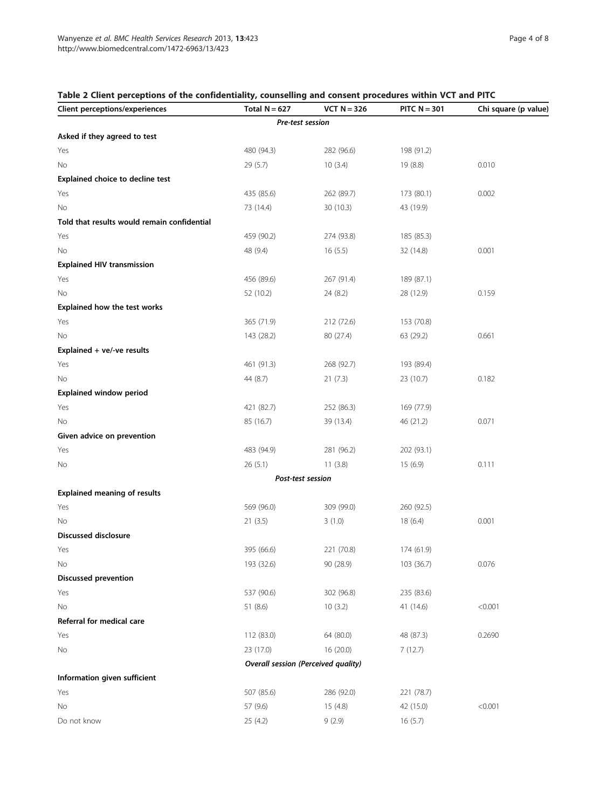## <span id="page-3-0"></span>Table 2 Client perceptions of the confidentiality, counselling and consent procedures within VCT and PITC

| <b>Client perceptions/experiences</b>       | Total $N = 627$                     | $VCT N = 326$ | PITC $N = 301$ | Chi square (p value) |
|---------------------------------------------|-------------------------------------|---------------|----------------|----------------------|
|                                             | Pre-test session                    |               |                |                      |
| Asked if they agreed to test                |                                     |               |                |                      |
| Yes                                         | 480 (94.3)                          | 282 (96.6)    | 198 (91.2)     |                      |
| No                                          | 29(5.7)                             | 10(3.4)       | 19 (8.8)       | 0.010                |
| Explained choice to decline test            |                                     |               |                |                      |
| Yes                                         | 435 (85.6)                          | 262 (89.7)    | 173 (80.1)     | 0.002                |
| No                                          | 73 (14.4)                           | 30 (10.3)     | 43 (19.9)      |                      |
| Told that results would remain confidential |                                     |               |                |                      |
| Yes                                         | 459 (90.2)                          | 274 (93.8)    | 185 (85.3)     |                      |
| No                                          | 48 (9.4)                            | 16(5.5)       | 32 (14.8)      | 0.001                |
| <b>Explained HIV transmission</b>           |                                     |               |                |                      |
| Yes                                         | 456 (89.6)                          | 267 (91.4)    | 189 (87.1)     |                      |
| No                                          | 52 (10.2)                           | 24 (8.2)      | 28 (12.9)      | 0.159                |
| Explained how the test works                |                                     |               |                |                      |
| Yes                                         | 365 (71.9)                          | 212 (72.6)    | 153 (70.8)     |                      |
| No                                          | 143 (28.2)                          | 80 (27.4)     | 63 (29.2)      | 0.661                |
| Explained + ve/-ve results                  |                                     |               |                |                      |
| Yes                                         | 461 (91.3)                          | 268 (92.7)    | 193 (89.4)     |                      |
| No                                          | 44 (8.7)                            | 21(7.3)       | 23 (10.7)      | 0.182                |
| <b>Explained window period</b>              |                                     |               |                |                      |
| Yes                                         | 421 (82.7)                          | 252 (86.3)    | 169 (77.9)     |                      |
| No                                          | 85 (16.7)                           | 39 (13.4)     | 46 (21.2)      | 0.071                |
| Given advice on prevention                  |                                     |               |                |                      |
| Yes                                         | 483 (94.9)                          | 281 (96.2)    | 202 (93.1)     |                      |
| No                                          | 26(5.1)                             | 11(3.8)       | 15(6.9)        | 0.111                |
|                                             | Post-test session                   |               |                |                      |
| <b>Explained meaning of results</b>         |                                     |               |                |                      |
| Yes                                         | 569 (96.0)                          | 309 (99.0)    | 260 (92.5)     |                      |
| No                                          | 21(3.5)                             | 3(1.0)        | 18(6.4)        | 0.001                |
| <b>Discussed disclosure</b>                 |                                     |               |                |                      |
| Yes                                         | 395 (66.6)                          | 221 (70.8)    | 174 (61.9)     |                      |
| No                                          | 193 (32.6)                          | 90 (28.9)     | 103 (36.7)     | 0.076                |
| <b>Discussed prevention</b>                 |                                     |               |                |                      |
| Yes                                         | 537 (90.6)                          | 302 (96.8)    | 235 (83.6)     |                      |
| No                                          | 51 (8.6)                            | 10(3.2)       | 41 (14.6)      | < 0.001              |
| Referral for medical care                   |                                     |               |                |                      |
| Yes                                         | 112 (83.0)                          | 64 (80.0)     | 48 (87.3)      | 0.2690               |
| No                                          | 23 (17.0)                           | 16(20.0)      | 7(12.7)        |                      |
|                                             | Overall session (Perceived quality) |               |                |                      |
| Information given sufficient                |                                     |               |                |                      |
| Yes                                         | 507 (85.6)                          | 286 (92.0)    | 221 (78.7)     |                      |
| No                                          | 57 (9.6)                            | 15(4.8)       | 42 (15.0)      | < 0.001              |
| Do not know                                 | 25 (4.2)                            | 9(2.9)        | 16(5.7)        |                      |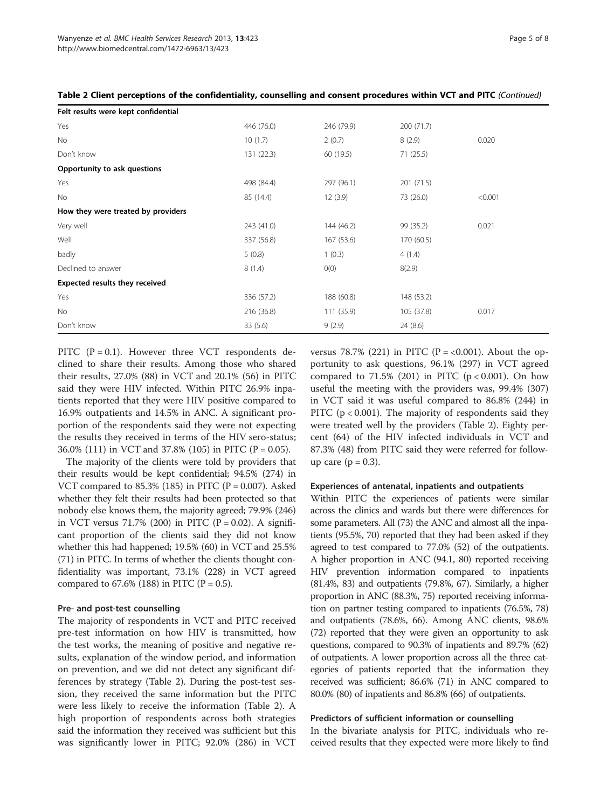| Felt results were kept confidential |            |            |            |         |  |
|-------------------------------------|------------|------------|------------|---------|--|
| Yes                                 | 446 (76.0) | 246 (79.9) | 200 (71.7) |         |  |
| No                                  | 10(1.7)    | 2(0.7)     | 8(2.9)     | 0.020   |  |
| Don't know                          | 131 (22.3) | 60 (19.5)  | 71(25.5)   |         |  |
| Opportunity to ask questions        |            |            |            |         |  |
| Yes                                 | 498 (84.4) | 297 (96.1) | 201 (71.5) |         |  |
| No                                  | 85 (14.4)  | 12(3.9)    | 73 (26.0)  | < 0.001 |  |
| How they were treated by providers  |            |            |            |         |  |
| Very well                           | 243 (41.0) | 144 (46.2) | 99 (35.2)  | 0.021   |  |
| Well                                | 337 (56.8) | 167 (53.6) | 170 (60.5) |         |  |
| badly                               | 5(0.8)     | 1(0.3)     | 4(1.4)     |         |  |
| Declined to answer                  | 8(1.4)     | O(0)       | 8(2.9)     |         |  |
| Expected results they received      |            |            |            |         |  |
| Yes                                 | 336 (57.2) | 188 (60.8) | 148 (53.2) |         |  |
| <b>No</b>                           | 216 (36.8) | 111(35.9)  | 105 (37.8) | 0.017   |  |
| Don't know                          | 33(5.6)    | 9(2.9)     | 24 (8.6)   |         |  |

Table 2 Client perceptions of the confidentiality, counselling and consent procedures within VCT and PITC (Continued)

PITC  $(P = 0.1)$ . However three VCT respondents declined to share their results. Among those who shared their results, 27.0% (88) in VCT and 20.1% (56) in PITC said they were HIV infected. Within PITC 26.9% inpatients reported that they were HIV positive compared to 16.9% outpatients and 14.5% in ANC. A significant proportion of the respondents said they were not expecting the results they received in terms of the HIV sero-status; 36.0% (111) in VCT and 37.8% (105) in PITC (P = 0.05).

The majority of the clients were told by providers that their results would be kept confidential; 94.5% (274) in VCT compared to  $85.3\%$  (185) in PITC (P = 0.007). Asked whether they felt their results had been protected so that nobody else knows them, the majority agreed; 79.9% (246) in VCT versus 71.7% (200) in PITC ( $P = 0.02$ ). A significant proportion of the clients said they did not know whether this had happened; 19.5% (60) in VCT and 25.5% (71) in PITC. In terms of whether the clients thought confidentiality was important, 73.1% (228) in VCT agreed compared to 67.6% (188) in PITC (P = 0.5).

#### Pre- and post-test counselling

The majority of respondents in VCT and PITC received pre-test information on how HIV is transmitted, how the test works, the meaning of positive and negative results, explanation of the window period, and information on prevention, and we did not detect any significant differences by strategy (Table [2](#page-3-0)). During the post-test session, they received the same information but the PITC were less likely to receive the information (Table [2](#page-3-0)). A high proportion of respondents across both strategies said the information they received was sufficient but this was significantly lower in PITC; 92.0% (286) in VCT versus 78.7% (221) in PITC ( $P = < 0.001$ ). About the opportunity to ask questions, 96.1% (297) in VCT agreed compared to  $71.5\%$  (201) in PITC ( $p < 0.001$ ). On how useful the meeting with the providers was, 99.4% (307) in VCT said it was useful compared to 86.8% (244) in PITC (p < 0.001). The majority of respondents said they were treated well by the providers (Table [2\)](#page-3-0). Eighty percent (64) of the HIV infected individuals in VCT and 87.3% (48) from PITC said they were referred for followup care  $(p = 0.3)$ .

#### Experiences of antenatal, inpatients and outpatients

Within PITC the experiences of patients were similar across the clinics and wards but there were differences for some parameters. All (73) the ANC and almost all the inpatients (95.5%, 70) reported that they had been asked if they agreed to test compared to 77.0% (52) of the outpatients. A higher proportion in ANC (94.1, 80) reported receiving HIV prevention information compared to inpatients (81.4%, 83) and outpatients (79.8%, 67). Similarly, a higher proportion in ANC (88.3%, 75) reported receiving information on partner testing compared to inpatients (76.5%, 78) and outpatients (78.6%, 66). Among ANC clients, 98.6% (72) reported that they were given an opportunity to ask questions, compared to 90.3% of inpatients and 89.7% (62) of outpatients. A lower proportion across all the three categories of patients reported that the information they received was sufficient; 86.6% (71) in ANC compared to 80.0% (80) of inpatients and 86.8% (66) of outpatients.

#### Predictors of sufficient information or counselling

In the bivariate analysis for PITC, individuals who received results that they expected were more likely to find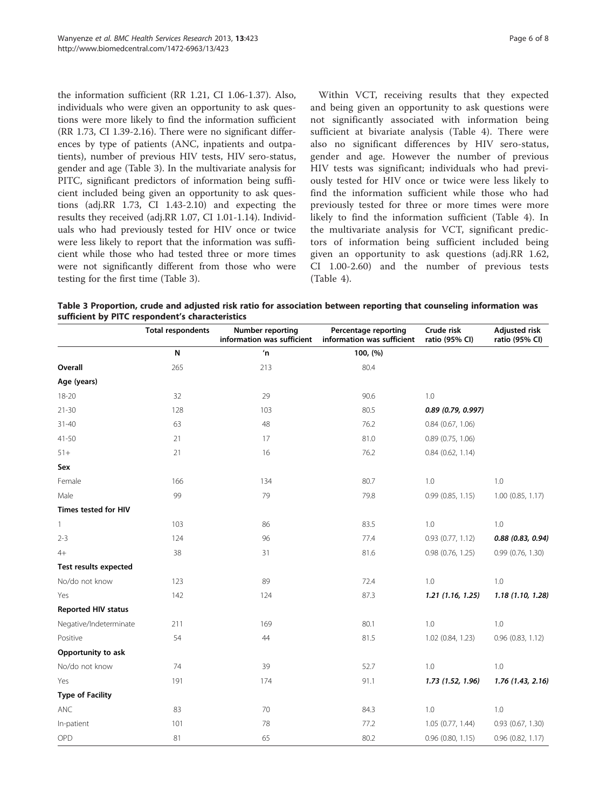the information sufficient (RR 1.21, CI 1.06-1.37). Also, individuals who were given an opportunity to ask questions were more likely to find the information sufficient (RR 1.73, CI 1.39-2.16). There were no significant differences by type of patients (ANC, inpatients and outpatients), number of previous HIV tests, HIV sero-status, gender and age (Table 3). In the multivariate analysis for PITC, significant predictors of information being sufficient included being given an opportunity to ask questions (adj.RR 1.73, CI 1.43-2.10) and expecting the results they received (adj.RR 1.07, CI 1.01-1.14). Individuals who had previously tested for HIV once or twice were less likely to report that the information was sufficient while those who had tested three or more times were not significantly different from those who were testing for the first time (Table 3).

Within VCT, receiving results that they expected and being given an opportunity to ask questions were not significantly associated with information being sufficient at bivariate analysis (Table [4](#page-6-0)). There were also no significant differences by HIV sero-status, gender and age. However the number of previous HIV tests was significant; individuals who had previously tested for HIV once or twice were less likely to find the information sufficient while those who had previously tested for three or more times were more likely to find the information sufficient (Table [4](#page-6-0)). In the multivariate analysis for VCT, significant predictors of information being sufficient included being given an opportunity to ask questions (adj.RR 1.62, CI 1.00-2.60) and the number of previous tests (Table [4\)](#page-6-0).

Table 3 Proportion, crude and adjusted risk ratio for association between reporting that counseling information was sufficient by PITC respondent's characteristics

|                              | <b>Total respondents</b> | <b>Number reporting</b><br>information was sufficient | Percentage reporting<br>information was sufficient | Crude risk<br>ratio (95% CI) | <b>Adjusted risk</b><br>ratio (95% CI) |
|------------------------------|--------------------------|-------------------------------------------------------|----------------------------------------------------|------------------------------|----------------------------------------|
|                              | N                        | n                                                     | 100, (%)                                           |                              |                                        |
| Overall                      | 265                      | 213                                                   | 80.4                                               |                              |                                        |
| Age (years)                  |                          |                                                       |                                                    |                              |                                        |
| 18-20                        | 32                       | 29                                                    | 90.6                                               | 1.0                          |                                        |
| $21 - 30$                    | 128                      | 103                                                   | 80.5                                               | $0.89$ (0.79, 0.997)         |                                        |
| $31 - 40$                    | 63                       | 48                                                    | 76.2                                               | $0.84$ (0.67, 1.06)          |                                        |
| $41 - 50$                    | 21                       | 17                                                    | 81.0                                               | $0.89$ (0.75, 1.06)          |                                        |
| $51+$                        | 21                       | 16                                                    | 76.2                                               | $0.84$ (0.62, 1.14)          |                                        |
| Sex                          |                          |                                                       |                                                    |                              |                                        |
| Female                       | 166                      | 134                                                   | 80.7                                               | 1.0                          | 1.0                                    |
| Male                         | 99                       | 79                                                    | 79.8                                               | 0.99(0.85, 1.15)             | $1.00$ (0.85, 1.17)                    |
| Times tested for HIV         |                          |                                                       |                                                    |                              |                                        |
| 1                            | 103                      | 86                                                    | 83.5                                               | 1.0                          | 1.0                                    |
| $2 - 3$                      | 124                      | 96                                                    | 77.4                                               | $0.93$ $(0.77, 1.12)$        | $0.88$ (0.83, 0.94)                    |
| $4+$                         | 38                       | 31                                                    | 81.6                                               | $0.98$ (0.76, 1.25)          | 0.99(0.76, 1.30)                       |
| <b>Test results expected</b> |                          |                                                       |                                                    |                              |                                        |
| No/do not know               | 123                      | 89                                                    | 72.4                                               | 1.0                          | 1.0                                    |
| Yes                          | 142                      | 124                                                   | 87.3                                               | 1.21(1.16, 1.25)             | 1.18(1.10, 1.28)                       |
| Reported HIV status          |                          |                                                       |                                                    |                              |                                        |
| Negative/Indeterminate       | 211                      | 169                                                   | 80.1                                               | 1.0                          | 1.0                                    |
| Positive                     | 54                       | 44                                                    | 81.5                                               | 1.02 (0.84, 1.23)            | $0.96$ $(0.83, 1.12)$                  |
| Opportunity to ask           |                          |                                                       |                                                    |                              |                                        |
| No/do not know               | 74                       | 39                                                    | 52.7                                               | 1.0                          | 1.0                                    |
| Yes                          | 191                      | 174                                                   | 91.1                                               | 1.73 (1.52, 1.96)            | 1.76 (1.43, 2.16)                      |
| <b>Type of Facility</b>      |                          |                                                       |                                                    |                              |                                        |
| <b>ANC</b>                   | 83                       | 70                                                    | 84.3                                               | 1.0                          | 1.0                                    |
| In-patient                   | 101                      | 78                                                    | 77.2                                               | 1.05 (0.77, 1.44)            | $0.93$ $(0.67, 1.30)$                  |
| OPD                          | 81                       | 65                                                    | 80.2                                               | $0.96$ $(0.80, 1.15)$        | $0.96$ $(0.82, 1.17)$                  |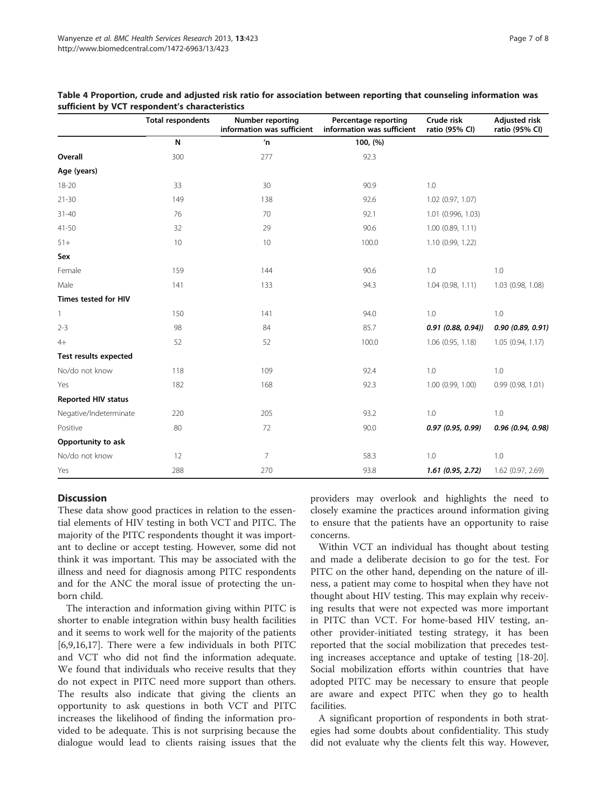|                            | <b>Total respondents</b> | Number reporting<br>information was sufficient | Percentage reporting<br>information was sufficient | Crude risk<br>ratio (95% CI) | <b>Adjusted risk</b><br>ratio (95% CI) |
|----------------------------|--------------------------|------------------------------------------------|----------------------------------------------------|------------------------------|----------------------------------------|
|                            | N                        | n'                                             | 100, (%)                                           |                              |                                        |
| Overall                    | 300                      | 277                                            | 92.3                                               |                              |                                        |
| Age (years)                |                          |                                                |                                                    |                              |                                        |
| $18 - 20$                  | 33                       | 30                                             | 90.9                                               | 1.0                          |                                        |
| $21 - 30$                  | 149                      | 138                                            | 92.6                                               | 1.02 (0.97, 1.07)            |                                        |
| $31 - 40$                  | 76                       | 70                                             | 92.1                                               | 1.01 (0.996, 1.03)           |                                        |
| $41 - 50$                  | 32                       | 29                                             | 90.6                                               | $1.00$ (0.89, 1.11)          |                                        |
| $51+$                      | 10                       | 10                                             | 100.0                                              | 1.10 (0.99, 1.22)            |                                        |
| Sex                        |                          |                                                |                                                    |                              |                                        |
| Female                     | 159                      | 144                                            | 90.6                                               | 1.0                          | 1.0                                    |
| Male                       | 141                      | 133                                            | 94.3                                               | 1.04(0.98, 1.11)             | 1.03 (0.98, 1.08)                      |
| Times tested for HIV       |                          |                                                |                                                    |                              |                                        |
| 1                          | 150                      | 141                                            | 94.0                                               | 1.0                          | 1.0                                    |
| $2 - 3$                    | 98                       | 84                                             | 85.7                                               | $0.91$ $(0.88, 0.94)$        | 0.90(0.89, 0.91)                       |
| $4+$                       | 52                       | 52                                             | 100.0                                              | 1.06(0.95, 1.18)             | 1.05(0.94, 1.17)                       |
| Test results expected      |                          |                                                |                                                    |                              |                                        |
| No/do not know             | 118                      | 109                                            | 92.4                                               | 1.0                          | 1.0                                    |
| Yes                        | 182                      | 168                                            | 92.3                                               | $1.00$ (0.99, 1.00)          | 0.99(0.98, 1.01)                       |
| <b>Reported HIV status</b> |                          |                                                |                                                    |                              |                                        |
| Negative/Indeterminate     | 220                      | 205                                            | 93.2                                               | 1.0                          | 1.0                                    |
| Positive                   | 80                       | 72                                             | 90.0                                               | 0.97 (0.95, 0.99)            | 0.96 (0.94, 0.98)                      |
| Opportunity to ask         |                          |                                                |                                                    |                              |                                        |
| No/do not know             | 12                       | $\overline{7}$                                 | 58.3                                               | 1.0                          | 1.0                                    |
| Yes                        | 288                      | 270                                            | 93.8                                               | $1.61$ (0.95, 2.72)          | 1.62 (0.97, 2.69)                      |

#### <span id="page-6-0"></span>Table 4 Proportion, crude and adjusted risk ratio for association between reporting that counseling information was sufficient by VCT respondent's characteristics

## **Discussion**

These data show good practices in relation to the essential elements of HIV testing in both VCT and PITC. The majority of the PITC respondents thought it was important to decline or accept testing. However, some did not think it was important. This may be associated with the illness and need for diagnosis among PITC respondents and for the ANC the moral issue of protecting the unborn child.

The interaction and information giving within PITC is shorter to enable integration within busy health facilities and it seems to work well for the majority of the patients [[6,9,16,17\]](#page-7-0). There were a few individuals in both PITC and VCT who did not find the information adequate. We found that individuals who receive results that they do not expect in PITC need more support than others. The results also indicate that giving the clients an opportunity to ask questions in both VCT and PITC increases the likelihood of finding the information provided to be adequate. This is not surprising because the dialogue would lead to clients raising issues that the providers may overlook and highlights the need to closely examine the practices around information giving to ensure that the patients have an opportunity to raise concerns.

Within VCT an individual has thought about testing and made a deliberate decision to go for the test. For PITC on the other hand, depending on the nature of illness, a patient may come to hospital when they have not thought about HIV testing. This may explain why receiving results that were not expected was more important in PITC than VCT. For home-based HIV testing, another provider-initiated testing strategy, it has been reported that the social mobilization that precedes testing increases acceptance and uptake of testing [\[18-20](#page-7-0)]. Social mobilization efforts within countries that have adopted PITC may be necessary to ensure that people are aware and expect PITC when they go to health facilities.

A significant proportion of respondents in both strategies had some doubts about confidentiality. This study did not evaluate why the clients felt this way. However,